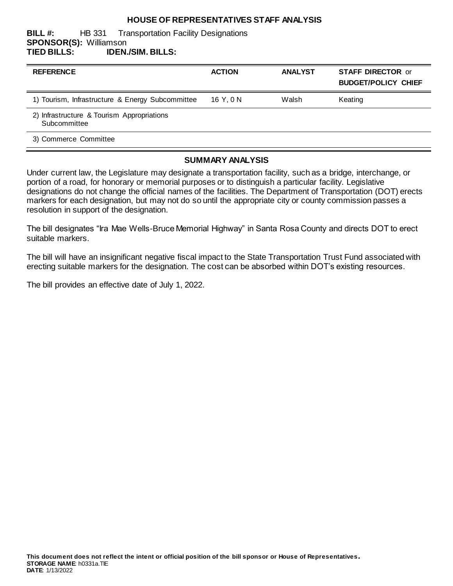### **HOUSE OF REPRESENTATIVES STAFF ANALYSIS**

#### **BILL #:** HB 331 Transportation Facility Designations **SPONSOR(S):** Williamson **TIED BILLS: IDEN./SIM. BILLS:**

| <b>REFERENCE</b>                                           | <b>ACTION</b> | <b>ANALYST</b> | <b>STAFF DIRECTOR or</b><br><b>BUDGET/POLICY CHIEF</b> |
|------------------------------------------------------------|---------------|----------------|--------------------------------------------------------|
| 1) Tourism, Infrastructure & Energy Subcommittee           | 16 Y.ON       | Walsh          | Keating                                                |
| 2) Infrastructure & Tourism Appropriations<br>Subcommittee |               |                |                                                        |
| 3) Commerce Committee                                      |               |                |                                                        |

#### **SUMMARY ANALYSIS**

Under current law, the Legislature may designate a transportation facility, such as a bridge, interchange, or portion of a road, for honorary or memorial purposes or to distinguish a particular facility. Legislative designations do not change the official names of the facilities. The Department of Transportation (DOT) erects markers for each designation, but may not do so until the appropriate city or county commission passes a resolution in support of the designation.

The bill designates "Ira Mae Wells-Bruce Memorial Highway" in Santa Rosa County and directs DOT to erect suitable markers.

The bill will have an insignificant negative fiscal impact to the State Transportation Trust Fund associated with erecting suitable markers for the designation. The cost can be absorbed within DOT's existing resources.

The bill provides an effective date of July 1, 2022.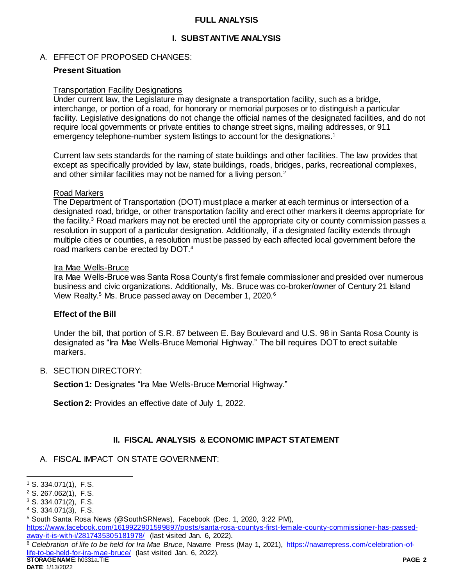## **FULL ANALYSIS**

## **I. SUBSTANTIVE ANALYSIS**

## A. EFFECT OF PROPOSED CHANGES:

## **Present Situation**

#### Transportation Facility Designations

Under current law, the Legislature may designate a transportation facility, such as a bridge, interchange, or portion of a road, for honorary or memorial purposes or to distinguish a particular facility. Legislative designations do not change the official names of the designated facilities, and do not require local governments or private entities to change street signs, mailing addresses, or 911 emergency telephone-number system listings to account for the designations.<sup>1</sup>

Current law sets standards for the naming of state buildings and other facilities. The law provides that except as specifically provided by law, state buildings, roads, bridges, parks, recreational complexes, and other similar facilities may not be named for a living person.<sup>2</sup>

#### Road Markers

The Department of Transportation (DOT) must place a marker at each terminus or intersection of a designated road, bridge, or other transportation facility and erect other markers it deems appropriate for the facility.<sup>3</sup> Road markers may not be erected until the appropriate city or county commission passes a resolution in support of a particular designation. Additionally, if a designated facility extends through multiple cities or counties, a resolution must be passed by each affected local government before the road markers can be erected by DOT.<sup>4</sup>

#### Ira Mae Wells-Bruce

Ira Mae Wells-Bruce was Santa Rosa County's first female commissioner and presided over numerous business and civic organizations. Additionally, Ms. Bruce was co-broker/owner of Century 21 Island View Realty.<sup>5</sup> Ms. Bruce passed away on December 1, 2020.<sup>6</sup>

#### **Effect of the Bill**

Under the bill, that portion of S.R. 87 between E. Bay Boulevard and U.S. 98 in Santa Rosa County is designated as "Ira Mae Wells-Bruce Memorial Highway." The bill requires DOT to erect suitable markers.

#### B. SECTION DIRECTORY:

**Section 1: Designates "Ira Mae Wells-Bruce Memorial Highway."** 

**Section 2:** Provides an effective date of July 1, 2022.

## **II. FISCAL ANALYSIS & ECONOMIC IMPACT STATEMENT**

A. FISCAL IMPACT ON STATE GOVERNMENT:

l

<sup>4</sup> S. 334.071(3), F.S.

[https://www.facebook.com/1619922901599897/posts/santa-rosa-countys-first-female-county-commissioner-has-passed](https://www.facebook.com/1619922901599897/posts/santa-rosa-countys-first-female-county-commissioner-has-passed-away-it-is-with-i/2817435305181978/)[away-it-is-with-i/2817435305181978/](https://www.facebook.com/1619922901599897/posts/santa-rosa-countys-first-female-county-commissioner-has-passed-away-it-is-with-i/2817435305181978/) (last visited Jan. 6, 2022).

**STORAGE NAME**: h0331a.TIE **PAGE: 2** <sup>6</sup> *Celebration of life to be held for Ira Mae Bruce*, Navarre Press (May 1, 2021), [https://navarrepress.com/celebration-of](https://navarrepress.com/celebration-of-life-to-be-held-for-ira-mae-bruce/)[life-to-be-held-for-ira-mae-bruce/](https://navarrepress.com/celebration-of-life-to-be-held-for-ira-mae-bruce/) (last visited Jan. 6, 2022).

<sup>1</sup> S. 334.071(1), F.S.

<sup>2</sup> S. 267.062(1), F.S.

<sup>3</sup> S. 334.071(2), F.S.

<sup>5</sup> South Santa Rosa News (@SouthSRNews), Facebook (Dec. 1, 2020, 3:22 PM),